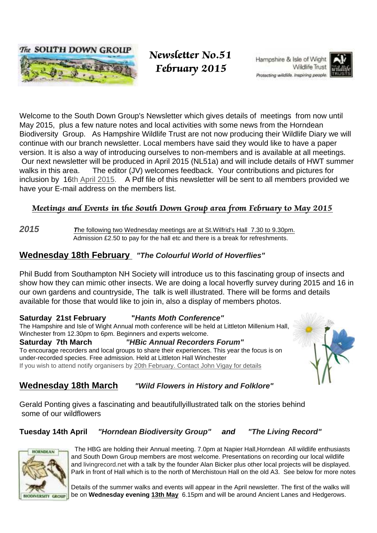

 Newsletter No.51 February 2015

Hampshire & Isle of Wight Wildlife Trust Protecting wildlife, Inspiring people.



Welcome to the South Down Group's Newsletter which gives details of meetings from now until May 2015, plus a few nature notes and local activities with some news from the Horndean Biodiversity Group. As Hampshire Wildlife Trust are not now producing their Wildlife Diary we will continue with our branch newsletter. Local members have said they would like to have a paper version. It is also a way of introducing ourselves to non-members and is available at all meetings. Our next newsletter will be produced in April 2015 (NL51a) and will include details of HWT summer walks in this area. The editor (JV) welcomes feedback. Your contributions and pictures for inclusion by 16th April 2015. A Pdf file of this newsletter will be sent to all members provided we have your E-mail address on the members list.

## Meetings and Events in the South Down Group area from February to May 2015

**2015 T**he following two Wednesday meetings are at St.Wilfrid's Hall 7.30 to 9.30pm. Admission £2.50 to pay for the hall etc and there is a break for refreshments.

## **Wednesday 18th February "The Colourful World of Hoverflies"**

Phil Budd from Southampton NH Society will introduce us to this fascinating group of insects and show how they can mimic other insects. We are doing a local hoverfly survey during 2015 and 16 in our own gardens and countryside, The talk is well illustrated. There will be forms and details available for those that would like to join in, also a display of members photos.

## **Saturday 21st February "Hants Moth Conference"**

The Hampshire and Isle of Wight Annual moth conference will be held at Littleton Millenium Hall, Winchester from 12.30pm to 6pm. Beginners and experts welcome.

**Saturday 7th March "HBic Annual Recorders Forum"** To encourage recorders and local groups to share their experiences. This year the focus is on under-recorded species. Free admission. Held at Littleton Hall Winchester If you wish to attend notify organisers by 20th February. Contact John Vigay for details



## **Wednesday 18th March "Wild Flowers in History and Folklore"**

Gerald Ponting gives a fascinating and beautifullyillustrated talk on the stories behind some of our wildflowers

## **Tuesday 14th April "Horndean Biodiversity Group" and "The Living Record"**



 The HBG are holding their Annual meeting. 7.0pm at Napier Hall,Horndean All wildlife enthusiasts and South Down Group members are most welcome. Presentations on recording our local wildlife and livingrecord.net with a talk by the founder Alan Bicker plus other local projects will be displayed. Park in front of Hall which is to the north of Merchistoun Hall on the old A3. See below for more notes

Details of the summer walks and events will appear in the April newsletter. The first of the walks will be on **Wednesday evening 13th May** 6.15pm and will be around Ancient Lanes and Hedgerows.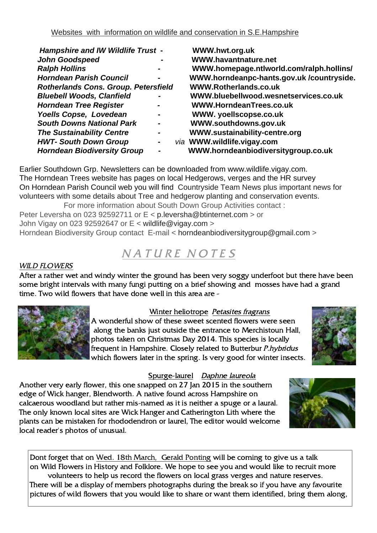| <b>Hampshire and IW Wildlife Trust -</b>    |                          |  | WWW.hwt.org.uk                           |
|---------------------------------------------|--------------------------|--|------------------------------------------|
| <b>John Goodspeed</b>                       |                          |  | <b>WWW.havantnature.net</b>              |
| <b>Ralph Hollins</b>                        |                          |  | WWW.homepage.ntlworld.com/ralph.hollins/ |
| <b>Horndean Parish Council</b>              | $\blacksquare$           |  | WWW.horndeanpc-hants.gov.uk/countryside. |
| <b>Rotherlands Cons. Group. Petersfield</b> |                          |  | WWW.Rotherlands.co.uk                    |
| <b>Bluebell Woods, Clanfield</b>            | $\blacksquare$           |  | WWW.bluebellwood.wesnetservices.co.uk    |
| <b>Horndean Tree Register</b>               | $\overline{\phantom{0}}$ |  | WWW.HorndeanTrees.co.uk                  |
| Yoells Copse, Lovedean                      | $\blacksquare$           |  | WWW. yoellscopse.co.uk                   |
| <b>South Downs National Park</b>            | $\blacksquare$           |  | WWW.southdowns.gov.uk                    |
| <b>The Sustainability Centre</b>            | $\blacksquare$           |  | WWW.sustainability-centre.org            |
| <b>HWT- South Down Group</b>                | $\blacksquare$           |  | via WWW.wildlife.vigay.com               |
| <b>Horndean Biodiversity Group</b>          | $\blacksquare$           |  | WWW.horndeanbiodiversitygroup.co.uk      |
|                                             |                          |  |                                          |

Earlier Southdown Grp. Newsletters can be downloaded from www.wildlife.vigay.com. The Horndean Trees website has pages on local Hedgerows, verges and the HR survey On Horndean Parish Council web you will find Countryside Team News plus important news for volunteers with some details about Tree and hedgerow planting and conservation events. For more information about South Down Group Activities contact :

Peter Leversha on 023 92592711 or E < p.leversha@btinternet.com > or John Vigay on 023 92592647 or  $E <$  wildlife@vigay.com > Horndean Biodiversity Group contact E-mail < horndeanbiodiversitygroup@gmail.com >

# NATURE NOTES

## WILD FLOWERS

After a rather wet and windy winter the ground has been very soggy underfoot but there have been some bright intervals with many fungi putting on a brief showing and mosses have had a grand time. Two wild flowers that have done well in this area are -



#### Winter heliotrope Petasites fragrans

A wonderful show of these sweet scented flowers were seen along the banks just outside the entrance to Merchistoun Hall, photos taken on Christmas Day 2014. This species is locally frequent in Hampshire. Closely related to Butterbur P.hybridus which flowers later in the spring. Is very good for winter insects.



#### Spurge-laurel Daphne laureola

Another very early flower, this one snapped on 27 Jan 2015 in the southern edge of Wick hanger, Blendworth. A native found across Hampshire on calcaerous woodland but rather mis-named as it is neither a spuge or a laural. The only known local sites are Wick Hanger and Catherington Lith where the plants can be mistaken for rhododendron or laurel, The editor would welcome local reader's photos of unusual.



Dont forget that on Wed. 18th March, Gerald Ponting will be coming to give us a talk on Wild Flowers in History and Folklore. We hope to see you and would like to recruit more volunteers to help us record the flowers on local grass verges and nature reserves. There will be a display of members photographs during the break so if you have any favourite pictures of wild flowers that you would like to share or want them identified, bring them along,